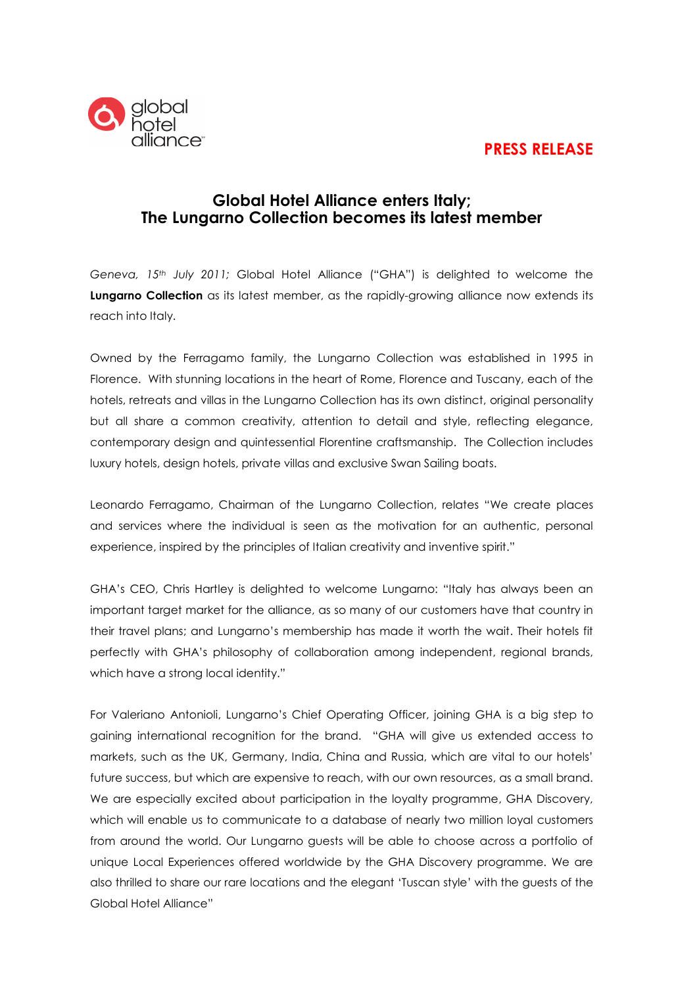# **PRESS RELEASE**



## **Global Hotel Alliance enters Italy; The Lungarno Collection becomes its latest member**

*Geneva, 15th July 2011;* Global Hotel Alliance ("GHA") is delighted to welcome the **Lungarno Collection** as its latest member, as the rapidly-growing alliance now extends its reach into Italy.

Owned by the Ferragamo family, the Lungarno Collection was established in 1995 in Florence. With stunning locations in the heart of Rome, Florence and Tuscany, each of the hotels, retreats and villas in the Lungarno Collection has its own distinct, original personality but all share a common creativity, attention to detail and style, reflecting elegance, contemporary design and quintessential Florentine craftsmanship. The Collection includes luxury hotels, design hotels, private villas and exclusive Swan Sailing boats.

Leonardo Ferragamo, Chairman of the Lungarno Collection, relates "We create places and services where the individual is seen as the motivation for an authentic, personal experience, inspired by the principles of Italian creativity and inventive spirit."

GHA's CEO, Chris Hartley is delighted to welcome Lungarno: "Italy has always been an important target market for the alliance, as so many of our customers have that country in their travel plans; and Lungarno's membership has made it worth the wait. Their hotels fit perfectly with GHA's philosophy of collaboration among independent, regional brands, which have a strong local identity."

For Valeriano Antonioli, Lungarno's Chief Operating Officer, joining GHA is a big step to gaining international recognition for the brand. "GHA will give us extended access to markets, such as the UK, Germany, India, China and Russia, which are vital to our hotels' future success, but which are expensive to reach, with our own resources, as a small brand. We are especially excited about participation in the loyalty programme, GHA Discovery, which will enable us to communicate to a database of nearly two million loyal customers from around the world. Our Lungarno guests will be able to choose across a portfolio of unique Local Experiences offered worldwide by the GHA Discovery programme. We are also thrilled to share our rare locations and the elegant 'Tuscan style' with the guests of the Global Hotel Alliance"